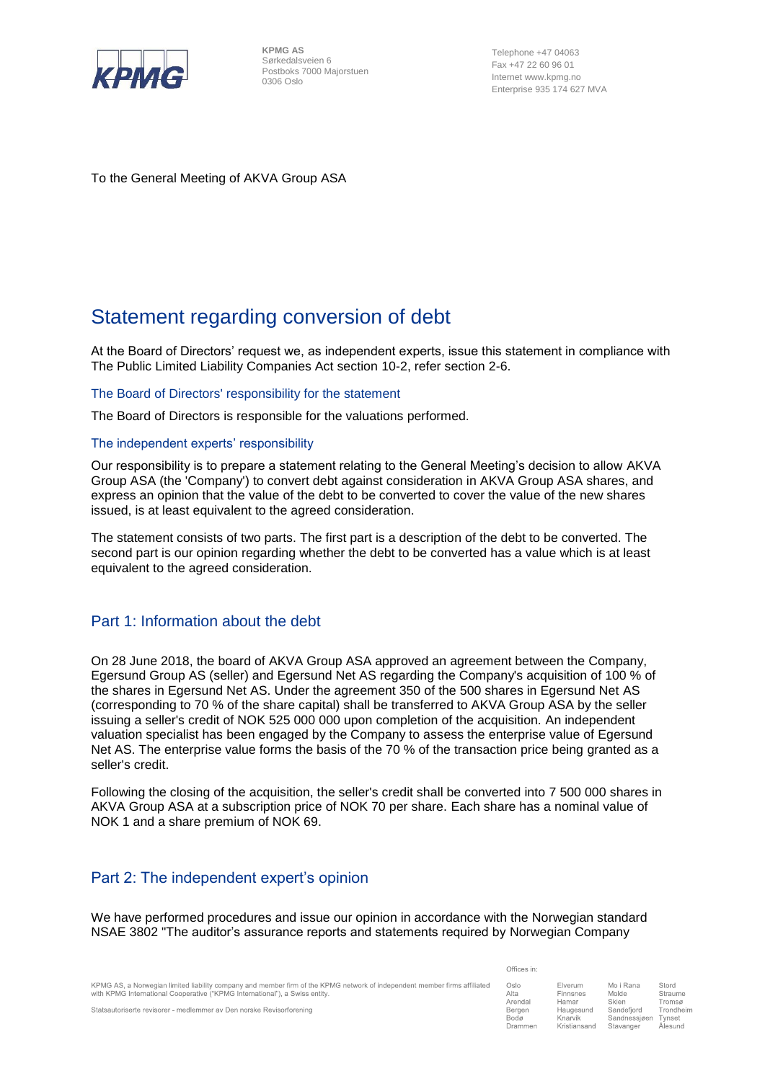

**KPMG AS** Sørkedalsveien 6 Postboks 7000 Majorstuen 0306 Oslo

Telephone +47 04063 Fax +47 22 60 96 01 Internet www.kpmg.no Enterprise 935 174 627 MVA

To the General Meeting of AKVA Group ASA

# Statement regarding conversion of debt

At the Board of Directors' request we, as independent experts, issue this statement in compliance with The Public Limited Liability Companies Act section 10-2, refer section 2-6.

The Board of Directors' responsibility for the statement

The Board of Directors is responsible for the valuations performed.

#### The independent experts' responsibility

Our responsibility is to prepare a statement relating to the General Meeting's decision to allow AKVA Group ASA (the 'Company') to convert debt against consideration in AKVA Group ASA shares, and express an opinion that the value of the debt to be converted to cover the value of the new shares issued, is at least equivalent to the agreed consideration.

The statement consists of two parts. The first part is a description of the debt to be converted. The second part is our opinion regarding whether the debt to be converted has a value which is at least equivalent to the agreed consideration.

### Part 1: Information about the debt

On 28 June 2018, the board of AKVA Group ASA approved an agreement between the Company, Egersund Group AS (seller) and Egersund Net AS regarding the Company's acquisition of 100 % of the shares in Egersund Net AS. Under the agreement 350 of the 500 shares in Egersund Net AS (corresponding to 70 % of the share capital) shall be transferred to AKVA Group ASA by the seller issuing a seller's credit of NOK 525 000 000 upon completion of the acquisition. An independent valuation specialist has been engaged by the Company to assess the enterprise value of Egersund Net AS. The enterprise value forms the basis of the 70 % of the transaction price being granted as a seller's credit.

Following the closing of the acquisition, the seller's credit shall be converted into 7 500 000 shares in AKVA Group ASA at a subscription price of NOK 70 per share. Each share has a nominal value of NOK 1 and a share premium of NOK 69.

## Part 2: The independent expert's opinion

We have performed procedures and issue our opinion in accordance with the Norwegian standard NSAE 3802 "The auditor's assurance reports and statements required by Norwegian Company

|                                                                             | KPMG AS, a Norwegian limited liability company and member firm of the KPMG network of independent member firms affiliated |
|-----------------------------------------------------------------------------|---------------------------------------------------------------------------------------------------------------------------|
| with KPMG International Cooperative ("KPMG International"), a Swiss entity. |                                                                                                                           |

Statsautoriserte revisorer - medlemmer av Den norske Revisorforening

Offices in:

| Oslo           | Elverum      | Mo i Rana    | Stord     |
|----------------|--------------|--------------|-----------|
| Alta           | Finnsnes     | Molde        | Straume   |
| Arendal        | Hamar        | Skien        | Tromsø    |
| Bergen         | Haugesund    | Sandefjord   | Trondheim |
| Bodø           | Knarvik      | Sandnessjøen | Tynset    |
| <b>Drammen</b> | Kristiansand | Stavanger    | Alesund   |